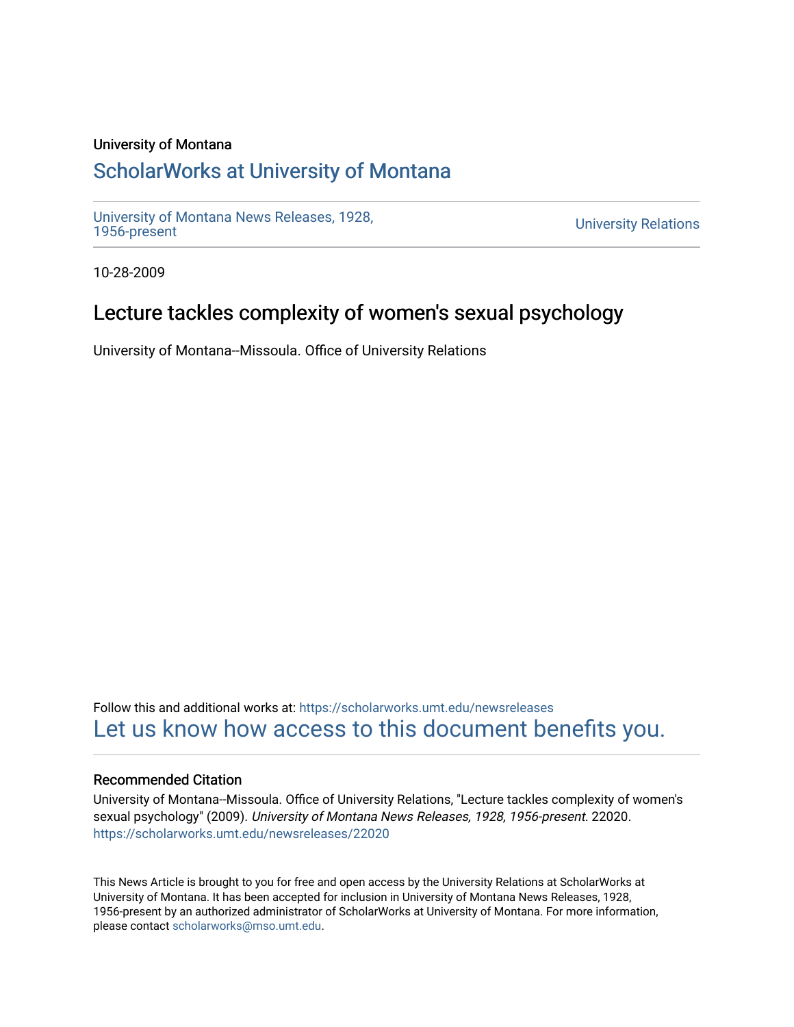#### University of Montana

# [ScholarWorks at University of Montana](https://scholarworks.umt.edu/)

[University of Montana News Releases, 1928,](https://scholarworks.umt.edu/newsreleases) 

**University Relations** 

10-28-2009

# Lecture tackles complexity of women's sexual psychology

University of Montana--Missoula. Office of University Relations

Follow this and additional works at: [https://scholarworks.umt.edu/newsreleases](https://scholarworks.umt.edu/newsreleases?utm_source=scholarworks.umt.edu%2Fnewsreleases%2F22020&utm_medium=PDF&utm_campaign=PDFCoverPages) [Let us know how access to this document benefits you.](https://goo.gl/forms/s2rGfXOLzz71qgsB2) 

#### Recommended Citation

University of Montana--Missoula. Office of University Relations, "Lecture tackles complexity of women's sexual psychology" (2009). University of Montana News Releases, 1928, 1956-present. 22020. [https://scholarworks.umt.edu/newsreleases/22020](https://scholarworks.umt.edu/newsreleases/22020?utm_source=scholarworks.umt.edu%2Fnewsreleases%2F22020&utm_medium=PDF&utm_campaign=PDFCoverPages) 

This News Article is brought to you for free and open access by the University Relations at ScholarWorks at University of Montana. It has been accepted for inclusion in University of Montana News Releases, 1928, 1956-present by an authorized administrator of ScholarWorks at University of Montana. For more information, please contact [scholarworks@mso.umt.edu.](mailto:scholarworks@mso.umt.edu)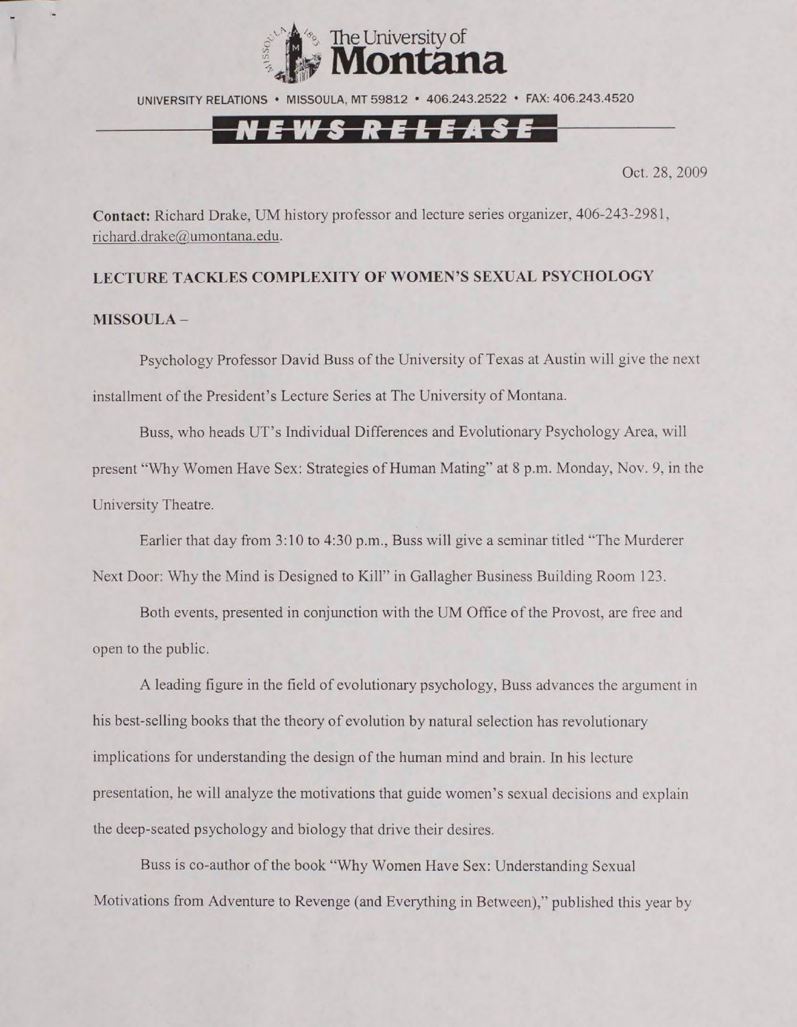

UNIVERSITY RELATIONS • MISSOULA, MT 59812 • 406.243.2522 • FAX: 406.243.4520

## *i m U L*

Oct. 28. 2009

**Contact:** Richard Drake, UM history professor and lecture series organizer, 406-243-2981, [richard.drake@umontana.edu.](mailto:richard.drake@umontana.edu)

### **LECTURE TACKLES COMPLEXITY OF WOMEN'S SEXUAL PSYCHOLOGY MISSOULA-**

Psychology Professor David Buss of the University of Texas at Austin will give the next installment of the President's Lecture Series at The University of Montana.

Buss, who heads UT's Individual Differences and Evolutionary Psychology Area, will present "Why Women Have Sex: Strategies of Human Mating" at 8 p.m. Monday, Nov. 9, in the University Theatre.

Earlier that day from 3:10 to 4:30 p.m., Buss will give a seminar titled "The Murderer Next Door: Why the Mind is Designed to Kill" in Gallagher Business Building Room 123.

Both events, presented in conjunction with the UM Office of the Provost, are free and open to the public.

A leading figure in the field of evolutionary psychology, Buss advances the argument in his best-selling books that the theory of evolution by natural selection has revolutionary implications for understanding the design of the human mind and brain. In his lecture presentation, he will analyze the motivations that guide women's sexual decisions and explain the deep-seated psychology and biology that drive their desires.

Buss is co-author of the book "Why Women Have Sex: Understanding Sexual Motivations from Adventure to Revenge (and Everything in Between)," published this year by